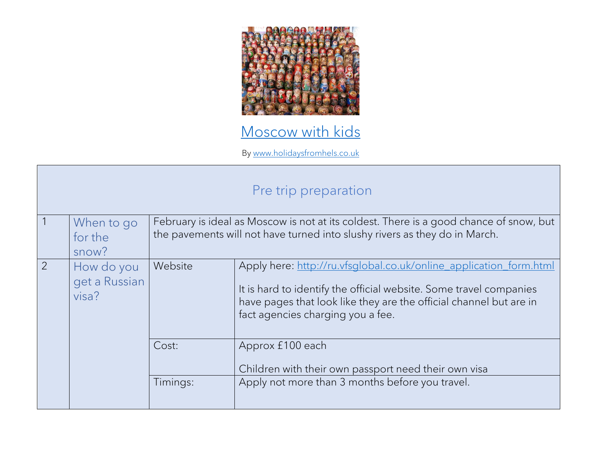

## [Moscow with kids](https://www.holidaysfromhels.co.uk/2019/08/17/moscow-with-kids/)

By [www.holidaysfromhels.co.uk](http://www.holidaysfromhels.co.uk/)

## Pre trip preparation

| $\sqrt{1}$     | When to go<br>for the<br>snow?       | February is ideal as Moscow is not at its coldest. There is a good chance of snow, but<br>the pavements will not have turned into slushy rivers as they do in March. |                                                                                                                                                                                                                                                     |
|----------------|--------------------------------------|----------------------------------------------------------------------------------------------------------------------------------------------------------------------|-----------------------------------------------------------------------------------------------------------------------------------------------------------------------------------------------------------------------------------------------------|
| $\overline{2}$ | How do you<br>get a Russian<br>visa? | Website                                                                                                                                                              | Apply here: http://ru.vfsglobal.co.uk/online_application_form.html<br>It is hard to identify the official website. Some travel companies<br>have pages that look like they are the official channel but are in<br>fact agencies charging you a fee. |
|                |                                      | Cost:                                                                                                                                                                | Approx £100 each<br>Children with their own passport need their own visa                                                                                                                                                                            |
|                |                                      | Timings:                                                                                                                                                             | Apply not more than 3 months before you travel.                                                                                                                                                                                                     |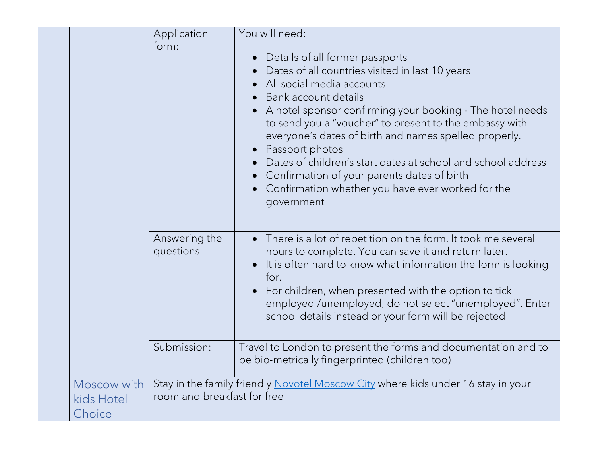|                                     | Application                 | You will need:                                                                                                                                                                                                                                                                                                                                                                                                                                                                                                               |
|-------------------------------------|-----------------------------|------------------------------------------------------------------------------------------------------------------------------------------------------------------------------------------------------------------------------------------------------------------------------------------------------------------------------------------------------------------------------------------------------------------------------------------------------------------------------------------------------------------------------|
|                                     | form:                       | Details of all former passports<br>Dates of all countries visited in last 10 years<br>All social media accounts<br>Bank account details<br>A hotel sponsor confirming your booking - The hotel needs<br>to send you a "voucher" to present to the embassy with<br>everyone's dates of birth and names spelled properly.<br>Passport photos<br>Dates of children's start dates at school and school address<br>Confirmation of your parents dates of birth<br>Confirmation whether you have ever worked for the<br>government |
|                                     | Answering the<br>questions  | There is a lot of repetition on the form. It took me several<br>hours to complete. You can save it and return later.<br>It is often hard to know what information the form is looking<br>for.<br>For children, when presented with the option to tick<br>employed /unemployed, do not select "unemployed". Enter<br>school details instead or your form will be rejected                                                                                                                                                     |
|                                     | Submission:                 | Travel to London to present the forms and documentation and to<br>be bio-metrically fingerprinted (children too)                                                                                                                                                                                                                                                                                                                                                                                                             |
| Moscow with<br>kids Hotel<br>Choice | room and breakfast for free | Stay in the family friendly Novotel Moscow City where kids under 16 stay in your                                                                                                                                                                                                                                                                                                                                                                                                                                             |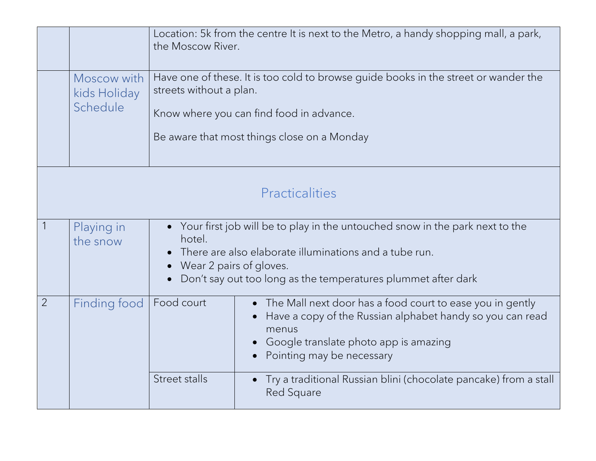|                |                                         | the Moscow River.                                                                                                                                                                                                                            | Location: 5k from the centre It is next to the Metro, a handy shopping mall, a park,                                                                                                                  |  |
|----------------|-----------------------------------------|----------------------------------------------------------------------------------------------------------------------------------------------------------------------------------------------------------------------------------------------|-------------------------------------------------------------------------------------------------------------------------------------------------------------------------------------------------------|--|
|                | Moscow with<br>kids Holiday<br>Schedule | Have one of these. It is too cold to browse guide books in the street or wander the<br>streets without a plan.<br>Know where you can find food in advance.<br>Be aware that most things close on a Monday                                    |                                                                                                                                                                                                       |  |
|                | Practicalities                          |                                                                                                                                                                                                                                              |                                                                                                                                                                                                       |  |
|                | Playing in<br>the snow                  | Your first job will be to play in the untouched snow in the park next to the<br>hotel.<br>There are also elaborate illuminations and a tube run.<br>Wear 2 pairs of gloves.<br>Don't say out too long as the temperatures plummet after dark |                                                                                                                                                                                                       |  |
| $\overline{2}$ | Finding food                            | Food court                                                                                                                                                                                                                                   | The Mall next door has a food court to ease you in gently<br>Have a copy of the Russian alphabet handy so you can read<br>menus<br>Google translate photo app is amazing<br>Pointing may be necessary |  |
|                |                                         | <b>Street stalls</b>                                                                                                                                                                                                                         | Try a traditional Russian blini (chocolate pancake) from a stall<br>Red Square                                                                                                                        |  |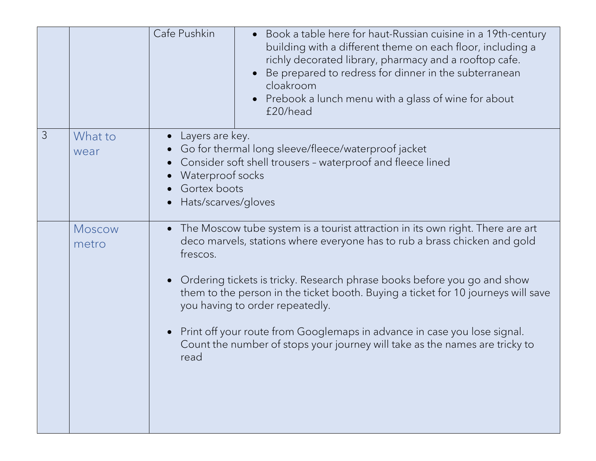|               |                 | Cafe Pushkin<br>• Book a table here for haut-Russian cuisine in a 19th-century<br>building with a different theme on each floor, including a<br>richly decorated library, pharmacy and a rooftop cafe.<br>Be prepared to redress for dinner in the subterranean<br>cloakroom<br>Prebook a lunch menu with a glass of wine for about<br>£20/head                                                                                                                                                                                                                                       |  |
|---------------|-----------------|---------------------------------------------------------------------------------------------------------------------------------------------------------------------------------------------------------------------------------------------------------------------------------------------------------------------------------------------------------------------------------------------------------------------------------------------------------------------------------------------------------------------------------------------------------------------------------------|--|
| $\mathcal{S}$ | What to<br>wear | Layers are key.<br>Go for thermal long sleeve/fleece/waterproof jacket<br>Consider soft shell trousers - waterproof and fleece lined<br>Waterproof socks<br>Gortex boots<br>Hats/scarves/gloves                                                                                                                                                                                                                                                                                                                                                                                       |  |
|               | Moscow<br>metro | The Moscow tube system is a tourist attraction in its own right. There are art<br>$\bullet$<br>deco marvels, stations where everyone has to rub a brass chicken and gold<br>frescos.<br>Ordering tickets is tricky. Research phrase books before you go and show<br>$\bullet$<br>them to the person in the ticket booth. Buying a ticket for 10 journeys will save<br>you having to order repeatedly.<br>Print off your route from Googlemaps in advance in case you lose signal.<br>$\bullet$<br>Count the number of stops your journey will take as the names are tricky to<br>read |  |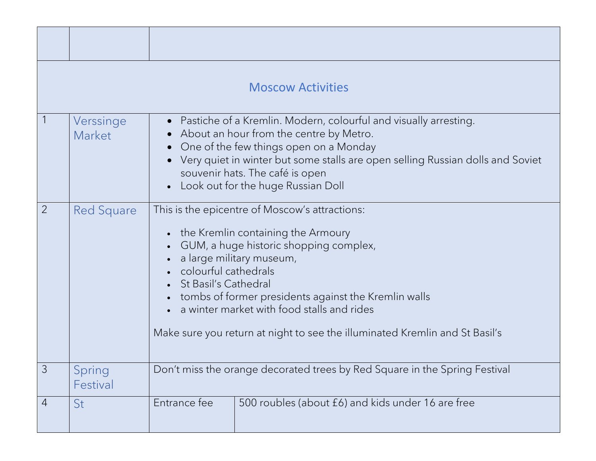|                |                     |                                                                                                                                                                                                                                                                                                                                                                                                        | <b>Moscow Activities</b>                          |  |
|----------------|---------------------|--------------------------------------------------------------------------------------------------------------------------------------------------------------------------------------------------------------------------------------------------------------------------------------------------------------------------------------------------------------------------------------------------------|---------------------------------------------------|--|
|                | Verssinge<br>Market | Pastiche of a Kremlin. Modern, colourful and visually arresting.<br>$\bullet$<br>About an hour from the centre by Metro.<br>One of the few things open on a Monday<br>Very quiet in winter but some stalls are open selling Russian dolls and Soviet<br>souvenir hats. The café is open<br>Look out for the huge Russian Doll                                                                          |                                                   |  |
| $\overline{2}$ | Red Square          | This is the epicentre of Moscow's attractions:<br>the Kremlin containing the Armoury<br>GUM, a huge historic shopping complex,<br>a large military museum,<br>colourful cathedrals<br><b>St Basil's Cathedral</b><br>tombs of former presidents against the Kremlin walls<br>a winter market with food stalls and rides<br>Make sure you return at night to see the illuminated Kremlin and St Basil's |                                                   |  |
| 3              | Spring<br>Festival  | Don't miss the orange decorated trees by Red Square in the Spring Festival                                                                                                                                                                                                                                                                                                                             |                                                   |  |
| $\overline{4}$ | St                  | Entrance fee                                                                                                                                                                                                                                                                                                                                                                                           | 500 roubles (about £6) and kids under 16 are free |  |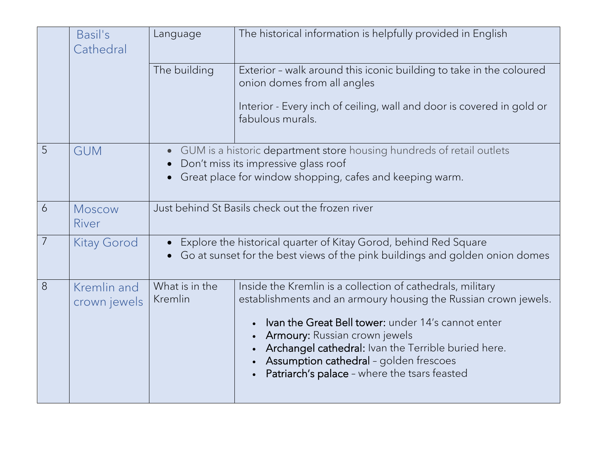|                | Basil's<br>Cathedral        | Language                  | The historical information is helpfully provided in English                                                                                                                                                                                                                                                                                                           |
|----------------|-----------------------------|---------------------------|-----------------------------------------------------------------------------------------------------------------------------------------------------------------------------------------------------------------------------------------------------------------------------------------------------------------------------------------------------------------------|
|                |                             | The building              | Exterior - walk around this iconic building to take in the coloured<br>onion domes from all angles                                                                                                                                                                                                                                                                    |
|                |                             |                           | Interior - Every inch of ceiling, wall and door is covered in gold or<br>fabulous murals.                                                                                                                                                                                                                                                                             |
| $\overline{5}$ | <b>GUM</b>                  |                           | GUM is a historic department store housing hundreds of retail outlets<br>Don't miss its impressive glass roof                                                                                                                                                                                                                                                         |
|                |                             |                           | Great place for window shopping, cafes and keeping warm.                                                                                                                                                                                                                                                                                                              |
| 6              | <b>Moscow</b><br>River      |                           | Just behind St Basils check out the frozen river                                                                                                                                                                                                                                                                                                                      |
| $\overline{7}$ | <b>Kitay Gorod</b>          | $\bullet$                 | Explore the historical quarter of Kitay Gorod, behind Red Square<br>Go at sunset for the best views of the pink buildings and golden onion domes                                                                                                                                                                                                                      |
| 8              | Kremlin and<br>crown jewels | What is in the<br>Kremlin | Inside the Kremlin is a collection of cathedrals, military<br>establishments and an armoury housing the Russian crown jewels.<br>Ivan the Great Bell tower: under 14's cannot enter<br>Armoury: Russian crown jewels<br>Archangel cathedral: Ivan the Terrible buried here.<br>Assumption cathedral - golden frescoes<br>Patriarch's palace - where the tsars feasted |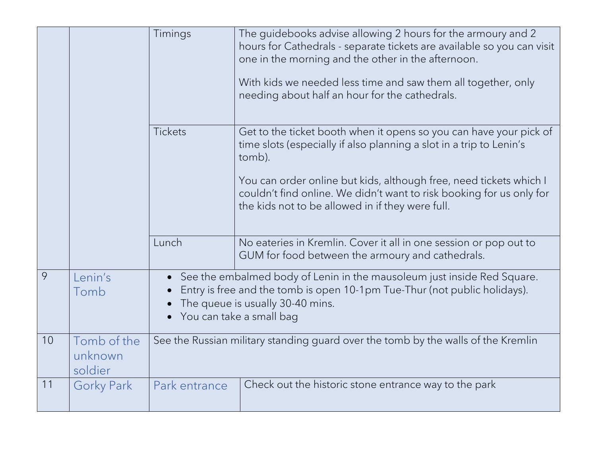|    |                                   | Timings                  | The guidebooks advise allowing 2 hours for the armoury and 2<br>hours for Cathedrals - separate tickets are available so you can visit<br>one in the morning and the other in the afternoon.<br>With kids we needed less time and saw them all together, only<br>needing about half an hour for the cathedrals. |
|----|-----------------------------------|--------------------------|-----------------------------------------------------------------------------------------------------------------------------------------------------------------------------------------------------------------------------------------------------------------------------------------------------------------|
|    |                                   | <b>Tickets</b>           | Get to the ticket booth when it opens so you can have your pick of<br>time slots (especially if also planning a slot in a trip to Lenin's<br>tomb).                                                                                                                                                             |
|    |                                   |                          | You can order online but kids, although free, need tickets which I<br>couldn't find online. We didn't want to risk booking for us only for<br>the kids not to be allowed in if they were full.                                                                                                                  |
|    |                                   | Lunch                    | No eateries in Kremlin. Cover it all in one session or pop out to<br>GUM for food between the armoury and cathedrals.                                                                                                                                                                                           |
| 9  | Lenin's<br>Tomb                   | You can take a small bag | See the embalmed body of Lenin in the mausoleum just inside Red Square.<br>Entry is free and the tomb is open 10-1pm Tue-Thur (not public holidays).<br>The queue is usually 30-40 mins.                                                                                                                        |
| 10 | Tomb of the<br>unknown<br>soldier |                          | See the Russian military standing guard over the tomb by the walls of the Kremlin                                                                                                                                                                                                                               |
| 11 | <b>Gorky Park</b>                 | Park entrance            | Check out the historic stone entrance way to the park                                                                                                                                                                                                                                                           |